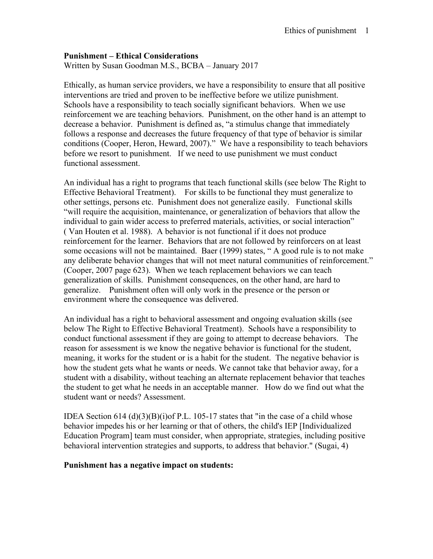### **Punishment – Ethical Considerations**

Written by Susan Goodman M.S., BCBA – January 2017

Ethically, as human service providers, we have a responsibility to ensure that all positive interventions are tried and proven to be ineffective before we utilize punishment. Schools have a responsibility to teach socially significant behaviors. When we use reinforcement we are teaching behaviors. Punishment, on the other hand is an attempt to decrease a behavior. Punishment is defined as, "a stimulus change that immediately follows a response and decreases the future frequency of that type of behavior is similar conditions (Cooper, Heron, Heward, 2007)." We have a responsibility to teach behaviors before we resort to punishment. If we need to use punishment we must conduct functional assessment.

An individual has a right to programs that teach functional skills (see below The Right to Effective Behavioral Treatment). For skills to be functional they must generalize to other settings, persons etc. Punishment does not generalize easily. Functional skills "will require the acquisition, maintenance, or generalization of behaviors that allow the individual to gain wider access to preferred materials, activities, or social interaction" ( Van Houten et al. 1988). A behavior is not functional if it does not produce reinforcement for the learner. Behaviors that are not followed by reinforcers on at least some occasions will not be maintained. Baer (1999) states, " A good rule is to not make any deliberate behavior changes that will not meet natural communities of reinforcement." (Cooper, 2007 page 623). When we teach replacement behaviors we can teach generalization of skills. Punishment consequences, on the other hand, are hard to generalize. Punishment often will only work in the presence or the person or environment where the consequence was delivered.

An individual has a right to behavioral assessment and ongoing evaluation skills (see below The Right to Effective Behavioral Treatment). Schools have a responsibility to conduct functional assessment if they are going to attempt to decrease behaviors. The reason for assessment is we know the negative behavior is functional for the student, meaning, it works for the student or is a habit for the student. The negative behavior is how the student gets what he wants or needs. We cannot take that behavior away, for a student with a disability, without teaching an alternate replacement behavior that teaches the student to get what he needs in an acceptable manner. How do we find out what the student want or needs? Assessment.

IDEA Section 614 (d)(3)(B)(i)of P.L. 105-17 states that "in the case of a child whose behavior impedes his or her learning or that of others, the child's IEP [Individualized Education Program] team must consider, when appropriate, strategies, including positive behavioral intervention strategies and supports, to address that behavior." (Sugai, 4)

#### **Punishment has a negative impact on students:**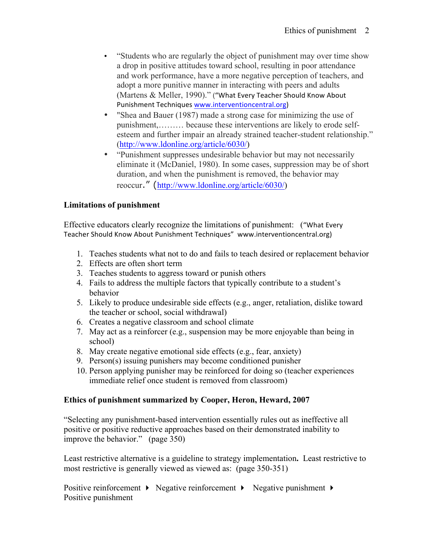- "Students who are regularly the object of punishment may over time show a drop in positive attitudes toward school, resulting in poor attendance and work performance, have a more negative perception of teachers, and adopt a more punitive manner in interacting with peers and adults (Martens & Meller, 1990)." ("What Every Teacher Should Know About Punishment Techniques www.interventioncentral.org)
- "Shea and Bauer (1987) made a strong case for minimizing the use of punishment,……… because these interventions are likely to erode selfesteem and further impair an already strained teacher-student relationship." (http://www.ldonline.org/article/6030/)
- "Punishment suppresses undesirable behavior but may not necessarily eliminate it (McDaniel, 1980). In some cases, suppression may be of short duration, and when the punishment is removed, the behavior may reoccur." (http://www.ldonline.org/article/6030/)

# **Limitations of punishment**

Effective educators clearly recognize the limitations of punishment: ("What Every Teacher Should Know About Punishment Techniques" www.interventioncentral.org)

- 1. Teaches students what not to do and fails to teach desired or replacement behavior
- 2. Effects are often short term
- 3. Teaches students to aggress toward or punish others
- 4. Fails to address the multiple factors that typically contribute to a student's behavior
- 5. Likely to produce undesirable side effects (e.g., anger, retaliation, dislike toward the teacher or school, social withdrawal)
- 6. Creates a negative classroom and school climate
- 7. May act as a reinforcer (e.g., suspension may be more enjoyable than being in school)
- 8. May create negative emotional side effects (e.g., fear, anxiety)
- 9. Person(s) issuing punishers may become conditioned punisher
- 10. Person applying punisher may be reinforced for doing so (teacher experiences immediate relief once student is removed from classroom)

# **Ethics of punishment summarized by Cooper, Heron, Heward, 2007**

"Selecting any punishment-based intervention essentially rules out as ineffective all positive or positive reductive approaches based on their demonstrated inability to improve the behavior." (page 350)

Least restrictive alternative is a guideline to strategy implementation**.** Least restrictive to most restrictive is generally viewed as viewed as: (page 350-351)

Positive reinforcement  $\triangleright$  Negative reinforcement  $\triangleright$  Negative punishment  $\triangleright$ Positive punishment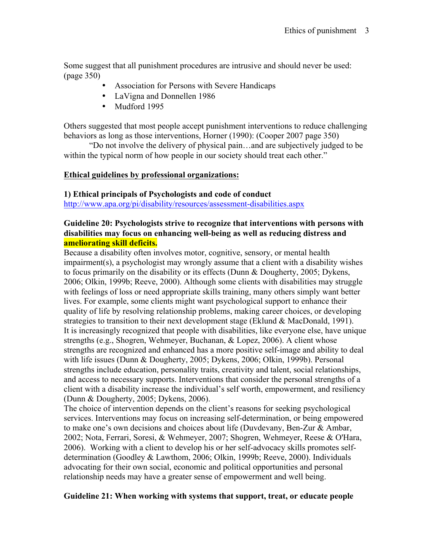Some suggest that all punishment procedures are intrusive and should never be used: (page 350)

- Association for Persons with Severe Handicaps
- LaVigna and Donnellen 1986
- Mudford 1995

Others suggested that most people accept punishment interventions to reduce challenging behaviors as long as those interventions, Horner (1990): (Cooper 2007 page 350)

"Do not involve the delivery of physical pain…and are subjectively judged to be within the typical norm of how people in our society should treat each other."

### **Ethical guidelines by professional organizations:**

### **1) Ethical principals of Psychologists and code of conduct**

http://www.apa.org/pi/disability/resources/assessment-disabilities.aspx

### **Guideline 20: Psychologists strive to recognize that interventions with persons with disabilities may focus on enhancing well-being as well as reducing distress and ameliorating skill deficits.**

Because a disability often involves motor, cognitive, sensory, or mental health impairment(s), a psychologist may wrongly assume that a client with a disability wishes to focus primarily on the disability or its effects (Dunn & Dougherty, 2005; Dykens, 2006; Olkin, 1999b; Reeve, 2000). Although some clients with disabilities may struggle with feelings of loss or need appropriate skills training, many others simply want better lives. For example, some clients might want psychological support to enhance their quality of life by resolving relationship problems, making career choices, or developing strategies to transition to their next development stage (Eklund & MacDonald, 1991). It is increasingly recognized that people with disabilities, like everyone else, have unique strengths (e.g., Shogren, Wehmeyer, Buchanan, & Lopez, 2006). A client whose strengths are recognized and enhanced has a more positive self-image and ability to deal with life issues (Dunn & Dougherty, 2005; Dykens, 2006; Olkin, 1999b). Personal strengths include education, personality traits, creativity and talent, social relationships, and access to necessary supports. Interventions that consider the personal strengths of a client with a disability increase the individual's self worth, empowerment, and resiliency (Dunn & Dougherty, 2005; Dykens, 2006).

The choice of intervention depends on the client's reasons for seeking psychological services. Interventions may focus on increasing self-determination, or being empowered to make one's own decisions and choices about life (Duvdevany, Ben-Zur & Ambar, 2002; Nota, Ferrari, Soresi, & Wehmeyer, 2007; Shogren, Wehmeyer, Reese & O'Hara, 2006). Working with a client to develop his or her self-advocacy skills promotes selfdetermination (Goodley & Lawthom, 2006; Olkin, 1999b; Reeve, 2000). Individuals advocating for their own social, economic and political opportunities and personal relationship needs may have a greater sense of empowerment and well being.

### **Guideline 21: When working with systems that support, treat, or educate people**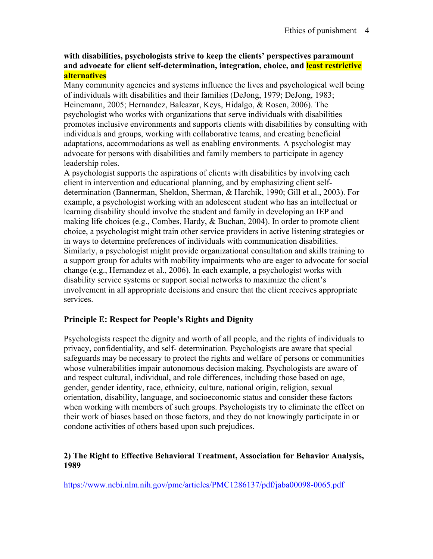### **with disabilities, psychologists strive to keep the clients' perspectives paramount and advocate for client self-determination, integration, choice, and least restrictive alternatives**

Many community agencies and systems influence the lives and psychological well being of individuals with disabilities and their families (DeJong, 1979; DeJong, 1983; Heinemann, 2005; Hernandez, Balcazar, Keys, Hidalgo, & Rosen, 2006). The psychologist who works with organizations that serve individuals with disabilities promotes inclusive environments and supports clients with disabilities by consulting with individuals and groups, working with collaborative teams, and creating beneficial adaptations, accommodations as well as enabling environments. A psychologist may advocate for persons with disabilities and family members to participate in agency leadership roles.

A psychologist supports the aspirations of clients with disabilities by involving each client in intervention and educational planning, and by emphasizing client selfdetermination (Bannerman, Sheldon, Sherman, & Harchik, 1990; Gill et al., 2003). For example, a psychologist working with an adolescent student who has an intellectual or learning disability should involve the student and family in developing an IEP and making life choices (e.g., Combes, Hardy, & Buchan, 2004). In order to promote client choice, a psychologist might train other service providers in active listening strategies or in ways to determine preferences of individuals with communication disabilities. Similarly, a psychologist might provide organizational consultation and skills training to a support group for adults with mobility impairments who are eager to advocate for social change (e.g., Hernandez et al., 2006). In each example, a psychologist works with disability service systems or support social networks to maximize the client's involvement in all appropriate decisions and ensure that the client receives appropriate services.

### **Principle E: Respect for People's Rights and Dignity**

Psychologists respect the dignity and worth of all people, and the rights of individuals to privacy, confidentiality, and self- determination. Psychologists are aware that special safeguards may be necessary to protect the rights and welfare of persons or communities whose vulnerabilities impair autonomous decision making. Psychologists are aware of and respect cultural, individual, and role differences, including those based on age, gender, gender identity, race, ethnicity, culture, national origin, religion, sexual orientation, disability, language, and socioeconomic status and consider these factors when working with members of such groups. Psychologists try to eliminate the effect on their work of biases based on those factors, and they do not knowingly participate in or condone activities of others based upon such prejudices.

### **2) The Right to Effective Behavioral Treatment, Association for Behavior Analysis, 1989**

https://www.ncbi.nlm.nih.gov/pmc/articles/PMC1286137/pdf/jaba00098-0065.pdf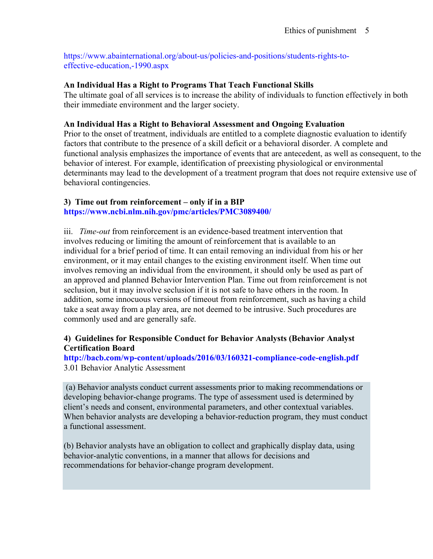https://www.abainternational.org/about-us/policies-and-positions/students-rights-toeffective-education,-1990.aspx

### **An Individual Has a Right to Programs That Teach Functional Skills**

The ultimate goal of all services is to increase the ability of individuals to function effectively in both their immediate environment and the larger society.

## **An Individual Has a Right to Behavioral Assessment and Ongoing Evaluation**

Prior to the onset of treatment, individuals are entitled to a complete diagnostic evaluation to identify factors that contribute to the presence of a skill deficit or a behavioral disorder. A complete and functional analysis emphasizes the importance of events that are antecedent, as well as consequent, to the behavior of interest. For example, identification of preexisting physiological or environmental determinants may lead to the development of a treatment program that does not require extensive use of behavioral contingencies.

#### **3) Time out from reinforcement – only if in a BIP https://www.ncbi.nlm.nih.gov/pmc/articles/PMC3089400/**

iii. *Time-out* from reinforcement is an evidence-based treatment intervention that involves reducing or limiting the amount of reinforcement that is available to an individual for a brief period of time. It can entail removing an individual from his or her environment, or it may entail changes to the existing environment itself. When time out involves removing an individual from the environment, it should only be used as part of an approved and planned Behavior Intervention Plan. Time out from reinforcement is not seclusion, but it may involve seclusion if it is not safe to have others in the room. In addition, some innocuous versions of timeout from reinforcement, such as having a child take a seat away from a play area, are not deemed to be intrusive. Such procedures are commonly used and are generally safe.

# **4) Guidelines for Responsible Conduct for Behavior Analysts (Behavior Analyst Certification Board**

**http://bacb.com/wp-content/uploads/2016/03/160321-compliance-code-english.pdf** 3.01 Behavior Analytic Assessment

(a) Behavior analysts conduct current assessments prior to making recommendations or developing behavior-change programs. The type of assessment used is determined by client's needs and consent, environmental parameters, and other contextual variables. When behavior analysts are developing a behavior-reduction program, they must conduct a functional assessment.

(b) Behavior analysts have an obligation to collect and graphically display data, using behavior-analytic conventions, in a manner that allows for decisions and recommendations for behavior-change program development.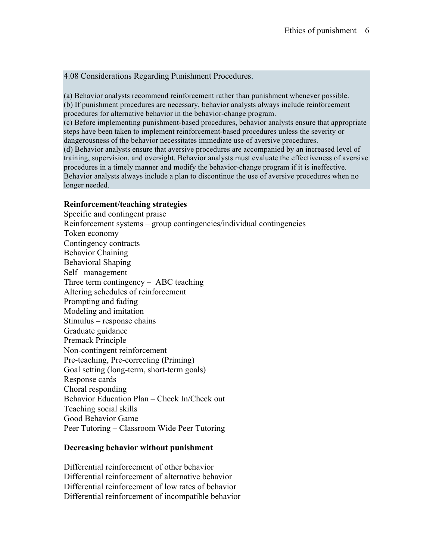4.08 Considerations Regarding Punishment Procedures.

(a) Behavior analysts recommend reinforcement rather than punishment whenever possible. (b) If punishment procedures are necessary, behavior analysts always include reinforcement procedures for alternative behavior in the behavior-change program.

(c) Before implementing punishment-based procedures, behavior analysts ensure that appropriate steps have been taken to implement reinforcement-based procedures unless the severity or dangerousness of the behavior necessitates immediate use of aversive procedures. (d) Behavior analysts ensure that aversive procedures are accompanied by an increased level of training, supervision, and oversight. Behavior analysts must evaluate the effectiveness of aversive procedures in a timely manner and modify the behavior-change program if it is ineffective. Behavior analysts always include a plan to discontinue the use of aversive procedures when no longer needed.

#### **Reinforcement/teaching strategies**

Specific and contingent praise Reinforcement systems – group contingencies/individual contingencies Token economy Contingency contracts Behavior Chaining Behavioral Shaping Self –management Three term contingency – ABC teaching Altering schedules of reinforcement Prompting and fading Modeling and imitation Stimulus – response chains Graduate guidance Premack Principle Non-contingent reinforcement Pre-teaching, Pre-correcting (Priming) Goal setting (long-term, short-term goals) Response cards Choral responding Behavior Education Plan – Check In/Check out Teaching social skills Good Behavior Game Peer Tutoring – Classroom Wide Peer Tutoring

#### **Decreasing behavior without punishment**

Differential reinforcement of other behavior Differential reinforcement of alternative behavior Differential reinforcement of low rates of behavior Differential reinforcement of incompatible behavior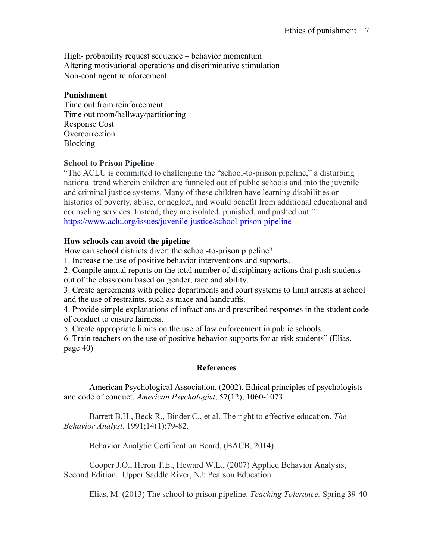High- probability request sequence – behavior momentum Altering motivational operations and discriminative stimulation Non-contingent reinforcement

### **Punishment**

Time out from reinforcement Time out room/hallway/partitioning Response Cost **Overcorrection** Blocking

### **School to Prison Pipeline**

"The ACLU is committed to challenging the "school-to-prison pipeline," a disturbing national trend wherein children are funneled out of public schools and into the juvenile and criminal justice systems. Many of these children have learning disabilities or histories of poverty, abuse, or neglect, and would benefit from additional educational and counseling services. Instead, they are isolated, punished, and pushed out." https://www.aclu.org/issues/juvenile-justice/school-prison-pipeline

### **How schools can avoid the pipeline**

How can school districts divert the school-to-prison pipeline?

1. Increase the use of positive behavior interventions and supports.

2. Compile annual reports on the total number of disciplinary actions that push students out of the classroom based on gender, race and ability.

3. Create agreements with police departments and court systems to limit arrests at school and the use of restraints, such as mace and handcuffs.

4. Provide simple explanations of infractions and prescribed responses in the student code of conduct to ensure fairness.

5. Create appropriate limits on the use of law enforcement in public schools.

6. Train teachers on the use of positive behavior supports for at-risk students" (Elias, page 40)

### **References**

American Psychological Association. (2002). Ethical principles of psychologists and code of conduct. *American Psychologist*, 57(12), 1060-1073.

Barrett B.H., Beck R., Binder C., et al. The right to effective education. *The Behavior Analyst*. 1991;14(1):79-82.

Behavior Analytic Certification Board, (BACB, 2014)

Cooper J.O., Heron T.E., Heward W.L., (2007) Applied Behavior Analysis, Second Edition. Upper Saddle River, NJ: Pearson Education.

Elias, M. (2013) The school to prison pipeline. *Teaching Tolerance.* Spring 39-40